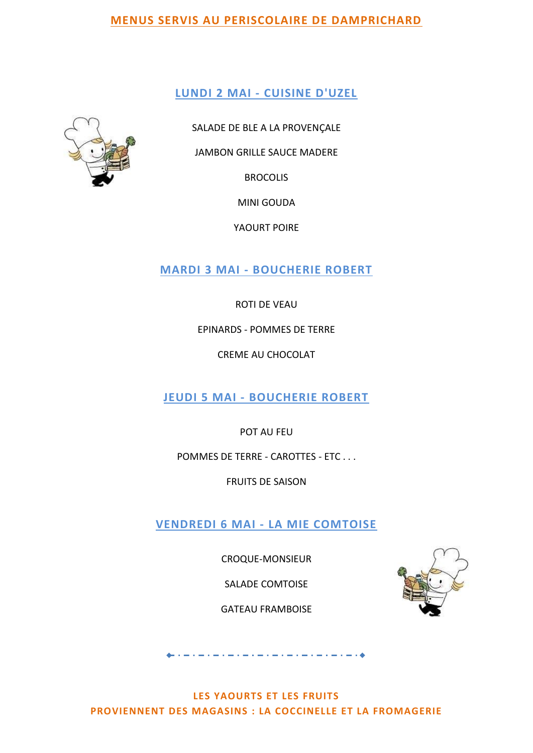#### **LUNDI 2 MAI - CUISINE D'UZEL**



SALADE DE BLE A LA PROVENÇALE

JAMBON GRILLE SAUCE MADERE

**BROCOLIS** 

MINI GOUDA

YAOURT POIRE

**MARDI 3 MAI - BOUCHERIE ROBERT**

ROTI DE VEAU

EPINARDS - POMMES DE TERRE

CREME AU CHOCOLAT

**JEUDI 5 MAI - BOUCHERIE ROBERT**

POT AU FEU

POMMES DE TERRE - CAROTTES - ETC . . .

FRUITS DE SAISON

**VENDREDI 6 MAI - LA MIE COMTOISE**

CROQUE-MONSIEUR

SALADE COMTOISE

GATEAU FRAMBOISE



**LES YAOURTS ET LES FRUITS PROVIENNENT DES MAGASINS : LA COCCINELLE ET LA FROMAGERIE**

والمحامل والمتاري والمتواطن والمتاريخ والمتاريخ والمتاريخ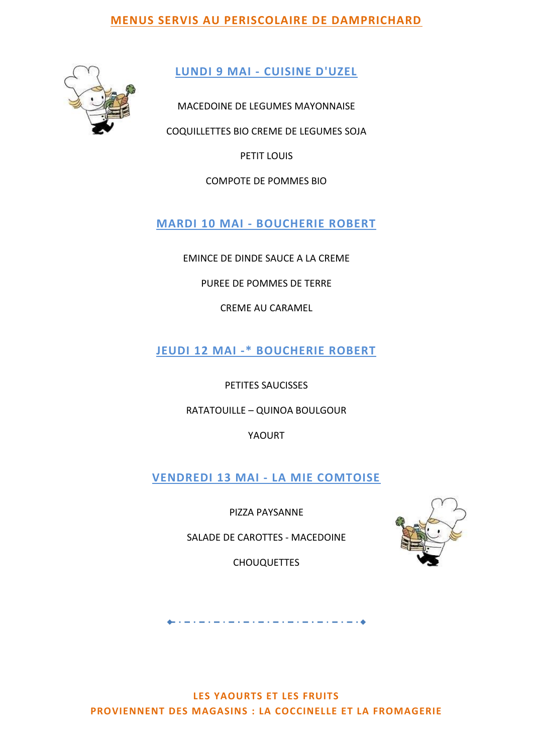

**LUNDI 9 MAI - CUISINE D'UZEL**

MACEDOINE DE LEGUMES MAYONNAISE

COQUILLETTES BIO CREME DE LEGUMES SOJA

PETIT LOUIS

COMPOTE DE POMMES BIO

**MARDI 10 MAI - BOUCHERIE ROBERT**

EMINCE DE DINDE SAUCE A LA CREME

PUREE DE POMMES DE TERRE

CREME AU CARAMEL

**JEUDI 12 MAI -\* BOUCHERIE ROBERT**

PETITES SAUCISSES

RATATOUILLE – QUINOA BOULGOUR

YAOURT

**VENDREDI 13 MAI - LA MIE COMTOISE**

PIZZA PAYSANNE

SALADE DE CAROTTES - MACEDOINE

CHOUQUETTES

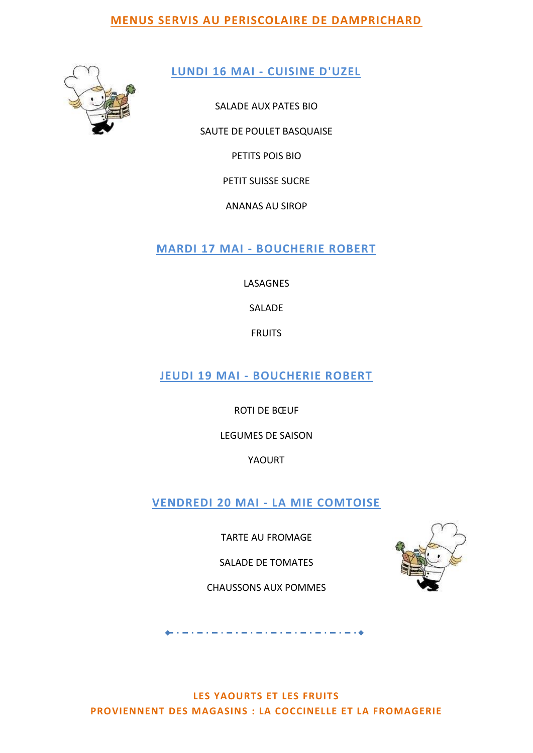

## **LUNDI 16 MAI - CUISINE D'UZEL**

SALADE AUX PATES BIO

SAUTE DE POULET BASQUAISE

PETITS POIS BIO

PETIT SUISSE SUCRE

ANANAS AU SIROP

**MARDI 17 MAI - BOUCHERIE ROBERT**

LASAGNES

SALADE

FRUITS

**JEUDI 19 MAI - BOUCHERIE ROBERT**

ROTI DE BŒUF

LEGUMES DE SAISON

YAOURT

**VENDREDI 20 MAI - LA MIE COMTOISE**

TARTE AU FROMAGE

SALADE DE TOMATES

CHAUSSONS AUX POMMES

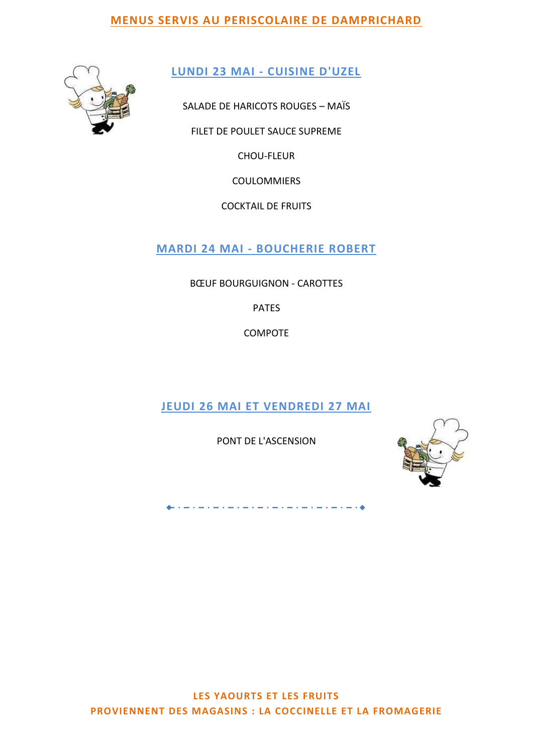

**LUNDI 23 MAI - CUISINE D'UZEL**

SALADE DE HARICOTS ROUGES – MAÏS

FILET DE POULET SAUCE SUPREME

CHOU-FLEUR

COULOMMIERS

COCKTAIL DE FRUITS

**MARDI 24 MAI - BOUCHERIE ROBERT**

BŒUF BOURGUIGNON - CAROTTES

PATES

COMPOTE

**JEUDI 26 MAI ET VENDREDI 27 MAI**

PONT DE L'ASCENSION

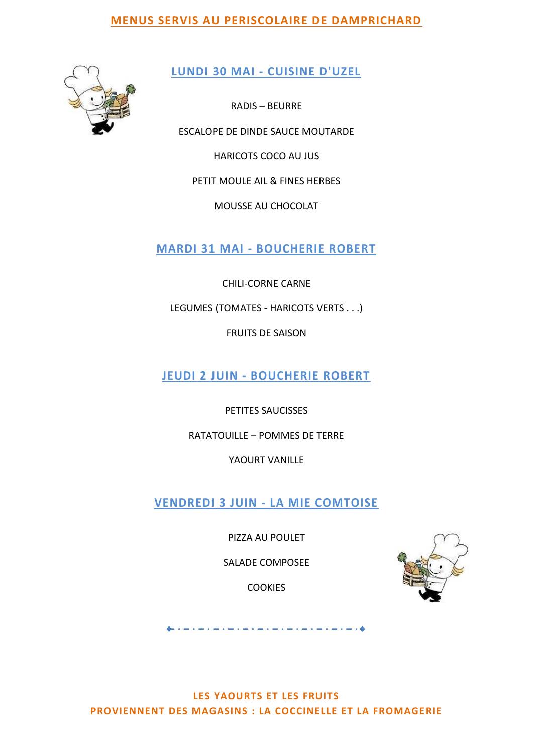

## **LUNDI 30 MAI - CUISINE D'UZEL**

RADIS – BEURRE

ESCALOPE DE DINDE SAUCE MOUTARDE

HARICOTS COCO AU JUS

PETIT MOULE AIL & FINES HERBES

MOUSSE AU CHOCOLAT

**MARDI 31 MAI - BOUCHERIE ROBERT**

CHILI-CORNE CARNE

LEGUMES (TOMATES - HARICOTS VERTS . . .)

FRUITS DE SAISON

**JEUDI 2 JUIN - BOUCHERIE ROBERT**

PETITES SAUCISSES

RATATOUILLE – POMMES DE TERRE

YAOURT VANILLE

**VENDREDI 3 JUIN - LA MIE COMTOISE**

PIZZA AU POULET

SALADE COMPOSEE

**COOKIES** 

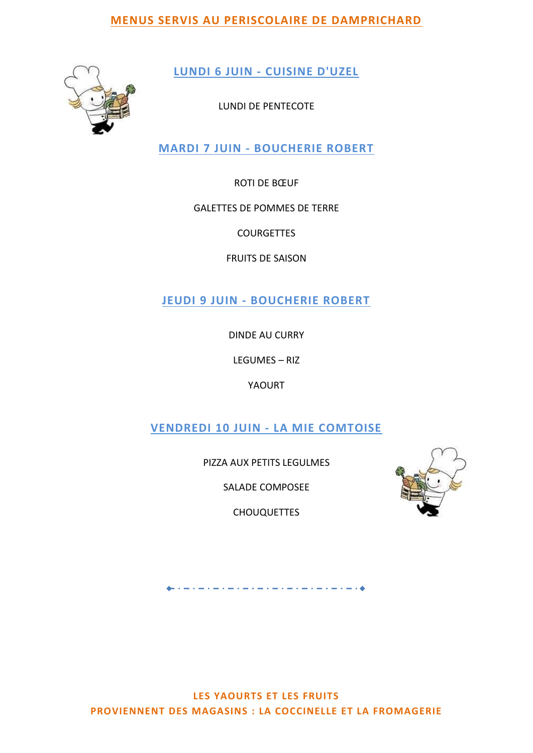

**LUNDI 6 JUIN - CUISINE D'UZEL**

LUNDI DE PENTECOTE

**MARDI 7 JUIN - BOUCHERIE ROBERT**

ROTI DE BŒUF

### GALETTES DE POMMES DE TERRE

**COURGETTES** 

FRUITS DE SAISON

**JEUDI 9 JUIN - BOUCHERIE ROBERT**

DINDE AU CURRY

LEGUMES – RIZ

YAOURT

**VENDREDI 10 JUIN - LA MIE COMTOISE**

PIZZA AUX PETITS LEGULMES

SALADE COMPOSEE

CHOUQUETTES



a comparative contract the company of the company of the company of the company of the company of the company of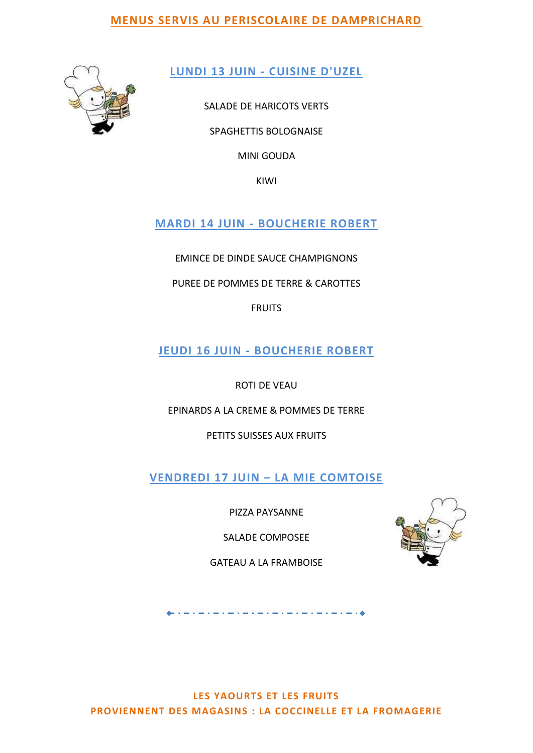

**LUNDI 13 JUIN - CUISINE D'UZEL**

SALADE DE HARICOTS VERTS SPAGHETTIS BOLOGNAISE

MINI GOUDA

KIWI

# **MARDI 14 JUIN - BOUCHERIE ROBERT**

EMINCE DE DINDE SAUCE CHAMPIGNONS

PUREE DE POMMES DE TERRE & CAROTTES

FRUITS

**JEUDI 16 JUIN - BOUCHERIE ROBERT**

ROTI DE VEAU

EPINARDS A LA CREME & POMMES DE TERRE

PETITS SUISSES AUX FRUITS

**VENDREDI 17 JUIN – LA MIE COMTOISE**

PIZZA PAYSANNE

SALADE COMPOSEE

GATEAU A LA FRAMBOISE



فالمتحدث والمستنبذ والمستنب والمستنب والمستنب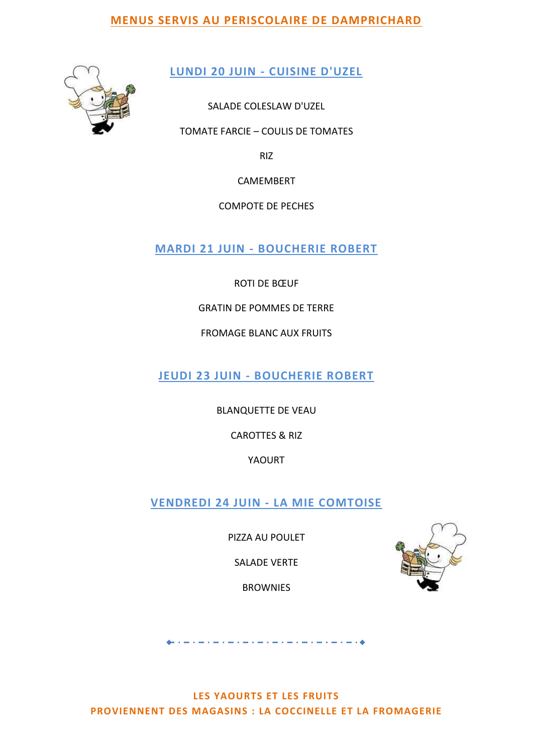

**LUNDI 20 JUIN - CUISINE D'UZEL**

SALADE COLESLAW D'UZEL

TOMATE FARCIE – COULIS DE TOMATES

RIZ

CAMEMBERT

COMPOTE DE PECHES

**MARDI 21 JUIN - BOUCHERIE ROBERT**

ROTI DE BŒUF

GRATIN DE POMMES DE TERRE

FROMAGE BLANC AUX FRUITS

**JEUDI 23 JUIN - BOUCHERIE ROBERT**

BLANQUETTE DE VEAU

CAROTTES & RIZ

YAOURT

**VENDREDI 24 JUIN - LA MIE COMTOISE**

PIZZA AU POULET

SALADE VERTE

**BROWNIES** 



والمستحيل والمستحيل والمستحيل والمستحيل والمستحيل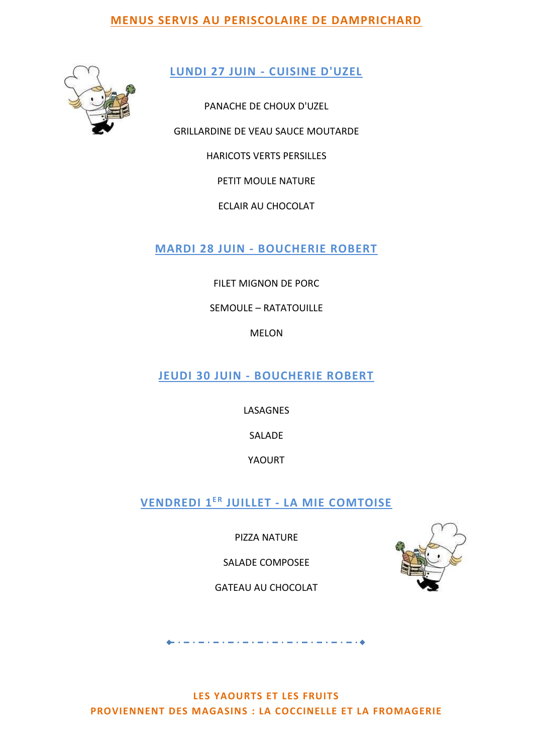

**LUNDI 27 JUIN - CUISINE D'UZEL**

PANACHE DE CHOUX D'UZEL GRILLARDINE DE VEAU SAUCE MOUTARDE HARICOTS VERTS PERSILLES PETIT MOULE NATURE ECLAIR AU CHOCOLAT

**MARDI 28 JUIN - BOUCHERIE ROBERT**

FILET MIGNON DE PORC

SEMOULE – RATATOUILLE

MELON

**JEUDI 30 JUIN - BOUCHERIE ROBERT**

LASAGNES

SALADE

YAOURT

**VENDREDI 1 E R JUILLET - LA MIE COMTOISE**

PIZZA NATURE

SALADE COMPOSEE

GATEAU AU CHOCOLAT